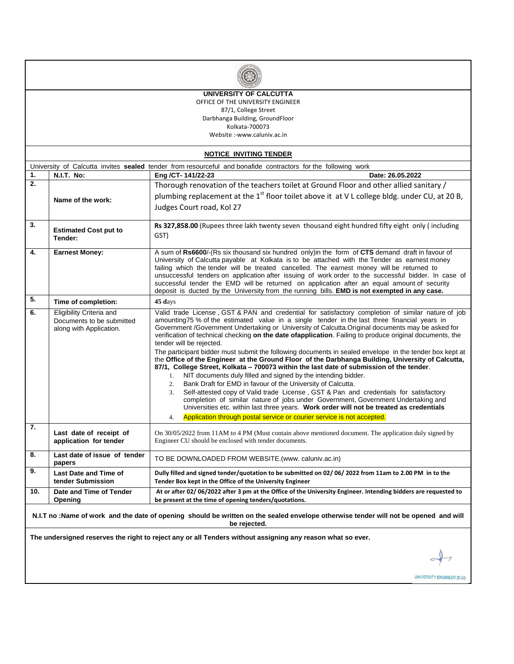

**UNIVERSITY OF CALCUTTA** OFFICE OF THE UNIVERSITY ENGINEER 87/1, College Street Darbhanga Building, GroundFloor

Kolkata-700073

Website :-www.caluniv.ac.in

|     | <b>NOTICE INVITING TENDER</b>                                                                                                        |                                                                                                                                                                                                    |  |  |  |  |  |
|-----|--------------------------------------------------------------------------------------------------------------------------------------|----------------------------------------------------------------------------------------------------------------------------------------------------------------------------------------------------|--|--|--|--|--|
|     | University of Calcutta invites sealed tender from resourceful and bonafide contractors for the following work                        |                                                                                                                                                                                                    |  |  |  |  |  |
| 1.  | N.I.T. No:                                                                                                                           | Eng /CT-141/22-23<br>Date: 26.05.2022                                                                                                                                                              |  |  |  |  |  |
| 2.  |                                                                                                                                      | Thorough renovation of the teachers toilet at Ground Floor and other allied sanitary /                                                                                                             |  |  |  |  |  |
|     | Name of the work:                                                                                                                    | plumbing replacement at the $1st$ floor toilet above it at V L college bldg. under CU, at 20 B,                                                                                                    |  |  |  |  |  |
|     |                                                                                                                                      | Judges Court road, Kol 27                                                                                                                                                                          |  |  |  |  |  |
|     |                                                                                                                                      |                                                                                                                                                                                                    |  |  |  |  |  |
| 3.  | <b>Estimated Cost put to</b>                                                                                                         | Rs 327,858.00 (Rupees three lakh twenty seven thousand eight hundred fifty eight only (including<br>GST)                                                                                           |  |  |  |  |  |
|     | Tender:                                                                                                                              |                                                                                                                                                                                                    |  |  |  |  |  |
| 4.  | <b>Earnest Money:</b>                                                                                                                | A sum of Rs6600/-(Rs six thousand six hundred only) in the form of CTS demand draft in favour of                                                                                                   |  |  |  |  |  |
|     |                                                                                                                                      | University of Calcutta payable at Kolkata is to be attached with the Tender as earnest money                                                                                                       |  |  |  |  |  |
|     |                                                                                                                                      | failing which the tender will be treated cancelled. The earnest money will be returned to<br>unsuccessful tenders on application after issuing of work order to the successful bidder. In case of  |  |  |  |  |  |
|     |                                                                                                                                      | successful tender the EMD will be returned on application after an equal amount of security                                                                                                        |  |  |  |  |  |
|     |                                                                                                                                      | deposit is ducted by the University from the running bills. EMD is not exempted in any case.                                                                                                       |  |  |  |  |  |
| 5.  | Time of completion:                                                                                                                  | $45 \mathrm{days}$                                                                                                                                                                                 |  |  |  |  |  |
| 6.  | <b>Eligibility Criteria and</b>                                                                                                      | Valid trade License, GST & PAN and credential for satisfactory completion of similar nature of job                                                                                                 |  |  |  |  |  |
|     | Documents to be submitted<br>along with Application.                                                                                 | amounting 75 % of the estimated value in a single tender in the last three financial years in<br>Government /Government Undertaking or University of Calcutta. Original documents may be asked for |  |  |  |  |  |
|     |                                                                                                                                      | verification of technical checking on the date of application. Failing to produce original documents, the                                                                                          |  |  |  |  |  |
|     |                                                                                                                                      | tender will be rejected.                                                                                                                                                                           |  |  |  |  |  |
|     |                                                                                                                                      | The participant bidder must submit the following documents in sealed envelope in the tender box kept at                                                                                            |  |  |  |  |  |
|     |                                                                                                                                      | the Office of the Engineer at the Ground Floor of the Darbhanga Building, University of Calcutta,<br>87/1, College Street, Kolkata - 700073 within the last date of submission of the tender.      |  |  |  |  |  |
|     |                                                                                                                                      | NIT documents duly filled and signed by the intending bidder.<br>1.                                                                                                                                |  |  |  |  |  |
|     |                                                                                                                                      | Bank Draft for EMD in favour of the University of Calcutta.<br>2.                                                                                                                                  |  |  |  |  |  |
|     |                                                                                                                                      | Self-attested copy of Valid trade License, GST & Pan and credentials for satisfactory<br>3.                                                                                                        |  |  |  |  |  |
|     |                                                                                                                                      | completion of similar nature of jobs under Government, Government Undertaking and<br>Universities etc. within last three years. Work order will not be treated as credentials                      |  |  |  |  |  |
|     |                                                                                                                                      | Application through postal service or courier service is not accepted.<br>4.                                                                                                                       |  |  |  |  |  |
| 7.  |                                                                                                                                      |                                                                                                                                                                                                    |  |  |  |  |  |
|     | Last date of receipt of                                                                                                              | On 30/05/2022 from 11AM to 4 PM (Must contain above mentioned document. The application duly signed by                                                                                             |  |  |  |  |  |
|     | application for tender                                                                                                               | Engineer CU should be enclosed with tender documents.                                                                                                                                              |  |  |  |  |  |
| 8.  | Last date of issue of tender<br>papers                                                                                               | TO BE DOWNLOADED FROM WEBSITE. (www. caluniv.ac.in)                                                                                                                                                |  |  |  |  |  |
| 9.  | <b>Last Date and Time of</b>                                                                                                         | Dully filled and signed tender/quotation to be submitted on 02/06/2022 from 11am to 2.00 PM in to the                                                                                              |  |  |  |  |  |
|     | tender Submission                                                                                                                    | Tender Box kept in the Office of the University Engineer                                                                                                                                           |  |  |  |  |  |
| 10. | Date and Time of Tender                                                                                                              | At or after 02/06/2022 after 3 pm at the Office of the University Engineer. Intending bidders are requested to                                                                                     |  |  |  |  |  |
|     | Opening                                                                                                                              | be present at the time of opening tenders/quotations.                                                                                                                                              |  |  |  |  |  |
|     | N.I.T no :Name of work and the date of opening should be written on the sealed envelope otherwise tender will not be opened and will |                                                                                                                                                                                                    |  |  |  |  |  |
|     |                                                                                                                                      | be rejected.                                                                                                                                                                                       |  |  |  |  |  |
|     |                                                                                                                                      | The undersigned reserves the right to reject any or all Tenders without assigning any reason what so ever.                                                                                         |  |  |  |  |  |
|     |                                                                                                                                      |                                                                                                                                                                                                    |  |  |  |  |  |
|     |                                                                                                                                      |                                                                                                                                                                                                    |  |  |  |  |  |

UNIVERSITY ENGINEER (C.U)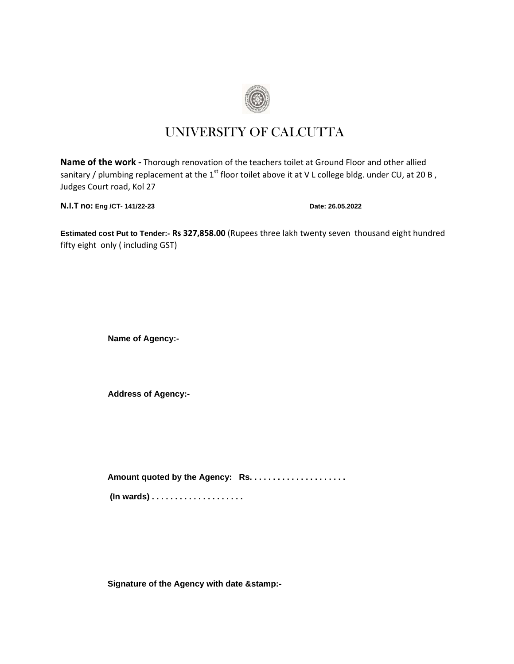

# UNIVERSITY OF CALCUTTA

**Name of the work -** Thorough renovation of the teachers toilet at Ground Floor and other allied sanitary / plumbing replacement at the  $1<sup>st</sup>$  floor toilet above it at V L college bldg. under CU, at 20 B, Judges Court road, Kol 27

**N.I.T no: Eng /CT- 141/22-23 Date: 26.05.2022**

**Estimated cost Put to Tender:- Rs 327,858.00** (Rupees three lakh twenty seven thousand eight hundred fifty eight only ( including GST)

**Name of Agency:-**

**Address of Agency:-**

**Amount quoted by the Agency: Rs. . . . . . . . . . . . . . . . . . . . .** 

**(In wards) . . . . . . . . . . . . . . . . . . . .** 

**Signature of the Agency with date &stamp:-**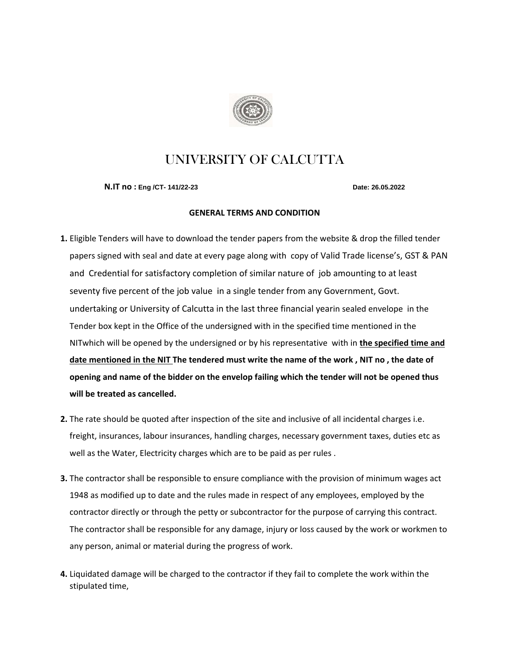

## UNIVERSITY OF CALCUTTA

**N.IT no : Eng /CT- 141/22-23 Date: 26.05.2022**

#### **GENERAL TERMS AND CONDITION**

- **1.** Eligible Tenders will have to download the tender papers from the website & drop the filled tender papers signed with seal and date at every page along with copy of Valid Trade license's, GST & PAN and Credential for satisfactory completion of similar nature of job amounting to at least seventy five percent of the job value in a single tender from any Government, Govt. undertaking or University of Calcutta in the last three financial yearin sealed envelope in the Tender box kept in the Office of the undersigned with in the specified time mentioned in the NITwhich will be opened by the undersigned or by his representative with in **the specified time and date mentioned in the NIT The tendered must write the name of the work , NIT no , the date of opening and name of the bidder on the envelop failing which the tender will not be opened thus will be treated as cancelled.**
- **2.** The rate should be quoted after inspection of the site and inclusive of all incidental charges i.e. freight, insurances, labour insurances, handling charges, necessary government taxes, duties etc as well as the Water, Electricity charges which are to be paid as per rules .
- **3.** The contractor shall be responsible to ensure compliance with the provision of minimum wages act 1948 as modified up to date and the rules made in respect of any employees, employed by the contractor directly or through the petty or subcontractor for the purpose of carrying this contract. The contractor shall be responsible for any damage, injury or loss caused by the work or workmen to any person, animal or material during the progress of work.
- **4.** Liquidated damage will be charged to the contractor if they fail to complete the work within the stipulated time,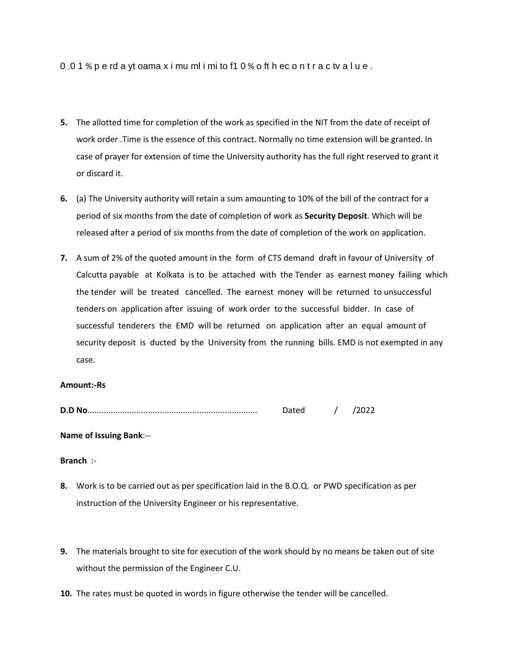0 .0 1 % p e rd a yt oama x i mu ml i mi to f1 0 % o ft h ec o n t r a c tv a l u e .

- **5.** The allotted time for completion of the work as specified in the NIT from the date of receipt of work order .Time is the essence of this contract. Normally no time extension will be granted. In case of prayer for extension of time the University authority has the full right reserved to grant it or discard it.
- **6.** (a) The University authority will retain a sum amounting to 10% of the bill of the contract for a period of six months from the date of completion of work as **Security Deposit**. Which will be released after a period of six months from the date of completion of the work on application.
- **7.** A sum of 2% of the quoted amount in the form of CTS demand draft in favour of University of Calcutta payable at Kolkata is to be attached with the Tender as earnest money failing which the tender will be treated cancelled. The earnest money will be returned to unsuccessful tenders on application after issuing of work order to the successful bidder. In case of successful tenderers the EMD will be returned on application after an equal amount of security deposit is ducted by the University from the running bills. EMD is not exempted in any case.

#### **Amount:-Rs**

| D.D No |  |  |  |
|--------|--|--|--|
|--------|--|--|--|

### **Name of Issuing Bank**:--

### **Branch** :-

- **8.** Work is to be carried out as per specification laid in the B.O.Q. or PWD specification as per instruction of the University Engineer or his representative.
- **9.** The materials brought to site for execution of the work should by no means be taken out of site without the permission of the Engineer C.U.
- **10.** The rates must be quoted in words in figure otherwise the tender will be cancelled.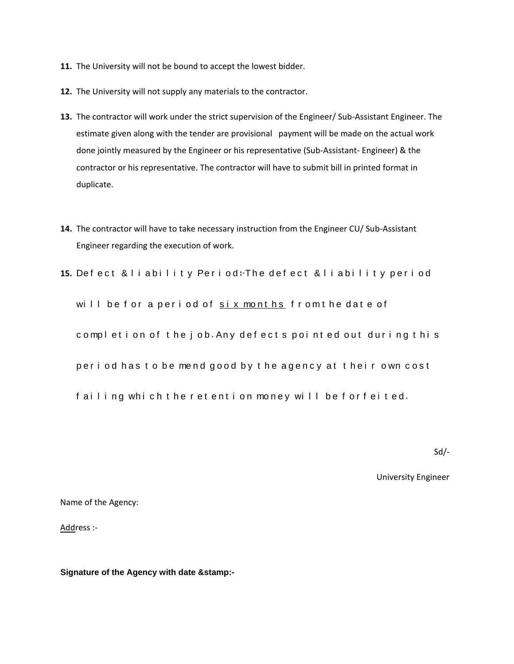- **11.** The University will not be bound to accept the lowest bidder.
- **12.** The University will not supply any materials to the contractor.
- **13.** The contractor will work under the strict supervision of the Engineer/ Sub-Assistant Engineer. The estimate given along with the tender are provisional payment will be made on the actual work done jointly measured by the Engineer or his representative (Sub-Assistant- Engineer) & the contractor or his representative. The contractor will have to submit bill in printed format in duplicate.
- **14.** The contractor will have to take necessary instruction from the Engineer CU/ Sub-Assistant Engineer regarding the execution of work.
- 15. Defect & liability Period: The defect & liability period

will be for a period of six months from the date of completion of the job. Any defects pointed out during this

period has to be mend good by the agency at their own cost

failing which the retention money will be forfeited.

Sd/-

University Engineer

Name of the Agency:

Address :-

**Signature of the Agency with date &stamp:-**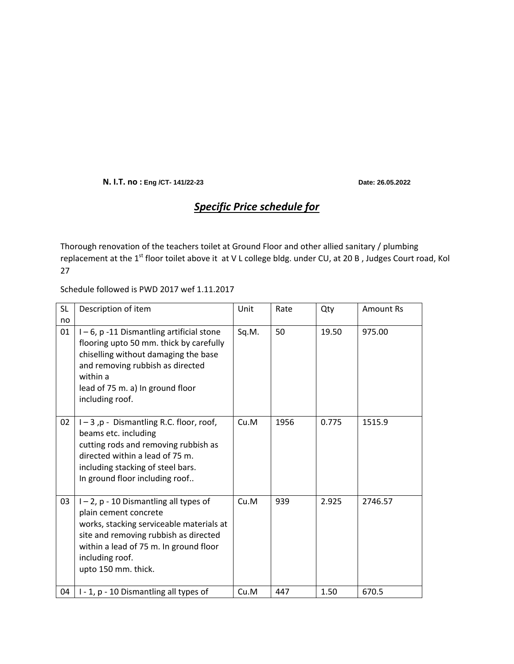**N. I.T. no : Eng /CT- 141/22-23 Date: 26.05.2022**

### *Specific Price schedule for*

Thorough renovation of the teachers toilet at Ground Floor and other allied sanitary / plumbing replacement at the 1<sup>st</sup> floor toilet above it at V L college bldg. under CU, at 20 B, Judges Court road, Kol 27

Schedule followed is PWD 2017 wef 1.11.2017

| SL<br>no | Description of item                                                                                                                                                                                                                  | Unit  | Rate | Qty   | <b>Amount Rs</b> |
|----------|--------------------------------------------------------------------------------------------------------------------------------------------------------------------------------------------------------------------------------------|-------|------|-------|------------------|
| 01       | I-6, p-11 Dismantling artificial stone<br>flooring upto 50 mm. thick by carefully<br>chiselling without damaging the base<br>and removing rubbish as directed<br>within a<br>lead of 75 m. a) In ground floor<br>including roof.     | Sq.M. | 50   | 19.50 | 975.00           |
| 02       | $I - 3$ , p - Dismantling R.C. floor, roof,<br>beams etc. including<br>cutting rods and removing rubbish as<br>directed within a lead of 75 m.<br>including stacking of steel bars.<br>In ground floor including roof                | Cu.M  | 1956 | 0.775 | 1515.9           |
| 03       | I-2, p-10 Dismantling all types of<br>plain cement concrete<br>works, stacking serviceable materials at<br>site and removing rubbish as directed<br>within a lead of 75 m. In ground floor<br>including roof.<br>upto 150 mm. thick. | Cu.M  | 939  | 2.925 | 2746.57          |
| 04       | I - 1, p - 10 Dismantling all types of                                                                                                                                                                                               | Cu.M  | 447  | 1.50  | 670.5            |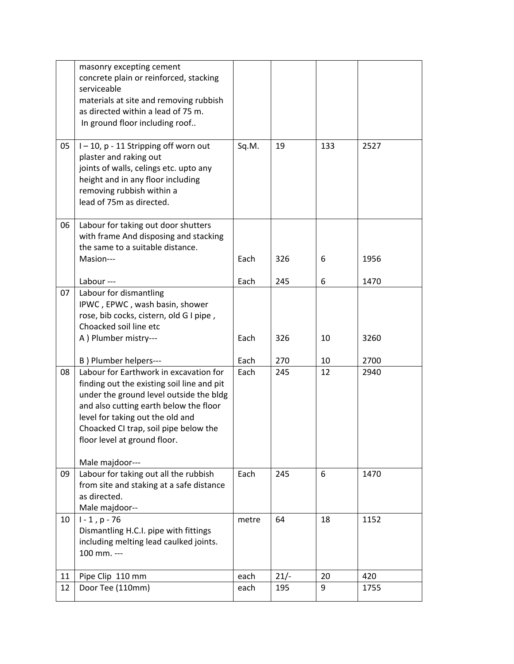|    | masonry excepting cement<br>concrete plain or reinforced, stacking<br>serviceable<br>materials at site and removing rubbish<br>as directed within a lead of 75 m.<br>In ground floor including roof                                                                                                       |       |        |     |      |
|----|-----------------------------------------------------------------------------------------------------------------------------------------------------------------------------------------------------------------------------------------------------------------------------------------------------------|-------|--------|-----|------|
| 05 | I-10, p-11 Stripping off worn out<br>plaster and raking out<br>joints of walls, celings etc. upto any<br>height and in any floor including<br>removing rubbish within a<br>lead of 75m as directed.                                                                                                       | Sq.M. | 19     | 133 | 2527 |
| 06 | Labour for taking out door shutters<br>with frame And disposing and stacking<br>the same to a suitable distance.<br>Masion---                                                                                                                                                                             | Each  | 326    | 6   | 1956 |
|    |                                                                                                                                                                                                                                                                                                           |       |        |     |      |
|    | Labour ---                                                                                                                                                                                                                                                                                                | Each  | 245    | 6   | 1470 |
| 07 | Labour for dismantling<br>IPWC, EPWC, wash basin, shower<br>rose, bib cocks, cistern, old G I pipe,<br>Choacked soil line etc                                                                                                                                                                             |       |        |     |      |
|    | A ) Plumber mistry---                                                                                                                                                                                                                                                                                     | Each  | 326    | 10  | 3260 |
|    | B) Plumber helpers---                                                                                                                                                                                                                                                                                     | Each  | 270    | 10  | 2700 |
| 08 | Labour for Earthwork in excavation for<br>finding out the existing soil line and pit<br>under the ground level outside the bldg<br>and also cutting earth below the floor<br>level for taking out the old and<br>Choacked CI trap, soil pipe below the<br>floor level at ground floor.<br>Male majdoor--- | Each  | 245    | 12  | 2940 |
| 09 | Labour for taking out all the rubbish<br>from site and staking at a safe distance<br>as directed.<br>Male majdoor--                                                                                                                                                                                       | Each  | 245    | 6   | 1470 |
| 10 | $1 - 1, p - 76$<br>Dismantling H.C.I. pipe with fittings<br>including melting lead caulked joints.<br>100 mm. ---                                                                                                                                                                                         | metre | 64     | 18  | 1152 |
| 11 | Pipe Clip 110 mm                                                                                                                                                                                                                                                                                          | each  | $21/-$ | 20  | 420  |
| 12 | Door Tee (110mm)                                                                                                                                                                                                                                                                                          | each  | 195    | 9   | 1755 |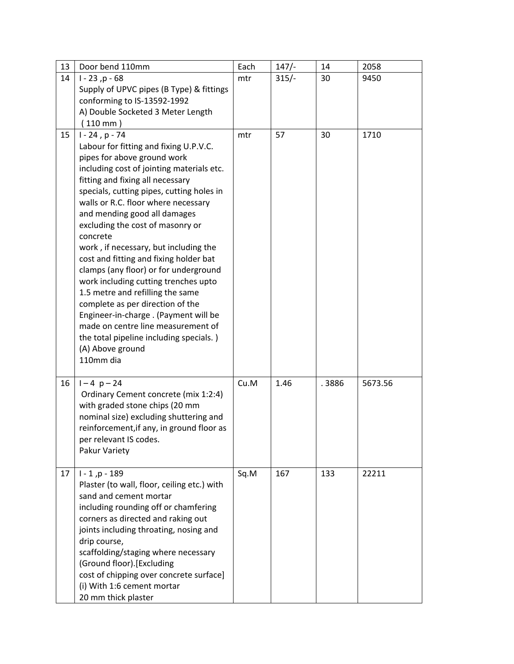| 13 | Door bend 110mm                                                               | Each | $147/-$ | 14    | 2058    |
|----|-------------------------------------------------------------------------------|------|---------|-------|---------|
| 14 | $1 - 23, p - 68$                                                              | mtr  | $315/-$ | 30    | 9450    |
|    | Supply of UPVC pipes (B Type) & fittings                                      |      |         |       |         |
|    | conforming to IS-13592-1992                                                   |      |         |       |         |
|    | A) Double Socketed 3 Meter Length                                             |      |         |       |         |
|    | $110$ mm $)$                                                                  |      |         |       |         |
| 15 | $1 - 24$ , p - 74                                                             | mtr  | 57      | 30    | 1710    |
|    | Labour for fitting and fixing U.P.V.C.                                        |      |         |       |         |
|    | pipes for above ground work                                                   |      |         |       |         |
|    | including cost of jointing materials etc.                                     |      |         |       |         |
|    | fitting and fixing all necessary<br>specials, cutting pipes, cutting holes in |      |         |       |         |
|    | walls or R.C. floor where necessary                                           |      |         |       |         |
|    | and mending good all damages                                                  |      |         |       |         |
|    | excluding the cost of masonry or                                              |      |         |       |         |
|    | concrete                                                                      |      |         |       |         |
|    | work, if necessary, but including the                                         |      |         |       |         |
|    | cost and fitting and fixing holder bat                                        |      |         |       |         |
|    | clamps (any floor) or for underground                                         |      |         |       |         |
|    | work including cutting trenches upto                                          |      |         |       |         |
|    | 1.5 metre and refilling the same                                              |      |         |       |         |
|    | complete as per direction of the                                              |      |         |       |         |
|    | Engineer-in-charge . (Payment will be                                         |      |         |       |         |
|    | made on centre line measurement of                                            |      |         |       |         |
|    | the total pipeline including specials.)                                       |      |         |       |         |
|    | (A) Above ground<br>110mm dia                                                 |      |         |       |         |
|    |                                                                               |      |         |       |         |
| 16 | $1 - 4 p - 24$                                                                | Cu.M | 1.46    | .3886 | 5673.56 |
|    | Ordinary Cement concrete (mix 1:2:4)                                          |      |         |       |         |
|    | with graded stone chips (20 mm                                                |      |         |       |         |
|    | nominal size) excluding shuttering and                                        |      |         |       |         |
|    | reinforcement, if any, in ground floor as                                     |      |         |       |         |
|    | per relevant IS codes.                                                        |      |         |       |         |
|    | Pakur Variety                                                                 |      |         |       |         |
|    |                                                                               |      |         |       |         |
| 17 | $1 - 1, p - 189$                                                              | Sq.M | 167     | 133   | 22211   |
|    | Plaster (to wall, floor, ceiling etc.) with<br>sand and cement mortar         |      |         |       |         |
|    | including rounding off or chamfering                                          |      |         |       |         |
|    | corners as directed and raking out                                            |      |         |       |         |
|    | joints including throating, nosing and                                        |      |         |       |         |
|    | drip course,                                                                  |      |         |       |         |
|    | scaffolding/staging where necessary                                           |      |         |       |         |
|    | (Ground floor).[Excluding                                                     |      |         |       |         |
|    | cost of chipping over concrete surface]                                       |      |         |       |         |
|    | (i) With 1:6 cement mortar                                                    |      |         |       |         |
|    | 20 mm thick plaster                                                           |      |         |       |         |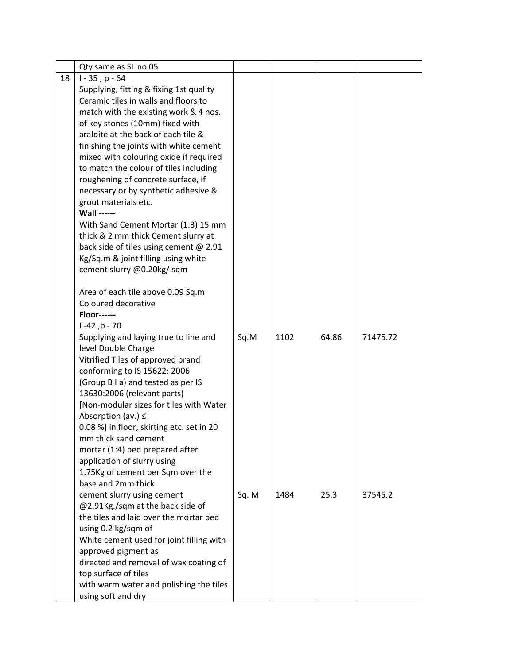|    | Qty same as SL no 05                      |       |      |       |          |
|----|-------------------------------------------|-------|------|-------|----------|
| 18 | $1 - 35$ , p $-64$                        |       |      |       |          |
|    | Supplying, fitting & fixing 1st quality   |       |      |       |          |
|    | Ceramic tiles in walls and floors to      |       |      |       |          |
|    | match with the existing work & 4 nos.     |       |      |       |          |
|    | of key stones (10mm) fixed with           |       |      |       |          |
|    | araldite at the back of each tile &       |       |      |       |          |
|    | finishing the joints with white cement    |       |      |       |          |
|    | mixed with colouring oxide if required    |       |      |       |          |
|    | to match the colour of tiles including    |       |      |       |          |
|    | roughening of concrete surface, if        |       |      |       |          |
|    | necessary or by synthetic adhesive &      |       |      |       |          |
|    | grout materials etc.                      |       |      |       |          |
|    | <b>Wall ------</b>                        |       |      |       |          |
|    | With Sand Cement Mortar (1:3) 15 mm       |       |      |       |          |
|    | thick & 2 mm thick Cement slurry at       |       |      |       |          |
|    | back side of tiles using cement @ 2.91    |       |      |       |          |
|    | Kg/Sq.m & joint filling using white       |       |      |       |          |
|    | cement slurry @0.20kg/sqm                 |       |      |       |          |
|    |                                           |       |      |       |          |
|    | Area of each tile above 0.09 Sq.m         |       |      |       |          |
|    | Coloured decorative                       |       |      |       |          |
|    | <b>Floor------</b>                        |       |      |       |          |
|    | $1 - 42$ , p - 70                         |       |      |       |          |
|    | Supplying and laying true to line and     | Sq.M  | 1102 | 64.86 | 71475.72 |
|    | level Double Charge                       |       |      |       |          |
|    | Vitrified Tiles of approved brand         |       |      |       |          |
|    | conforming to IS 15622: 2006              |       |      |       |          |
|    | (Group B I a) and tested as per IS        |       |      |       |          |
|    | 13630:2006 (relevant parts)               |       |      |       |          |
|    | [Non-modular sizes for tiles with Water   |       |      |       |          |
|    | Absorption (av.) $\leq$                   |       |      |       |          |
|    | 0.08 %] in floor, skirting etc. set in 20 |       |      |       |          |
|    | mm thick sand cement                      |       |      |       |          |
|    | mortar (1:4) bed prepared after           |       |      |       |          |
|    | application of slurry using               |       |      |       |          |
|    | 1.75Kg of cement per Sqm over the         |       |      |       |          |
|    | base and 2mm thick                        |       |      |       |          |
|    | cement slurry using cement                | Sq. M | 1484 | 25.3  | 37545.2  |
|    | @2.91Kg./sqm at the back side of          |       |      |       |          |
|    | the tiles and laid over the mortar bed    |       |      |       |          |
|    | using 0.2 kg/sqm of                       |       |      |       |          |
|    | White cement used for joint filling with  |       |      |       |          |
|    | approved pigment as                       |       |      |       |          |
|    | directed and removal of wax coating of    |       |      |       |          |
|    | top surface of tiles                      |       |      |       |          |
|    | with warm water and polishing the tiles   |       |      |       |          |
|    | using soft and dry                        |       |      |       |          |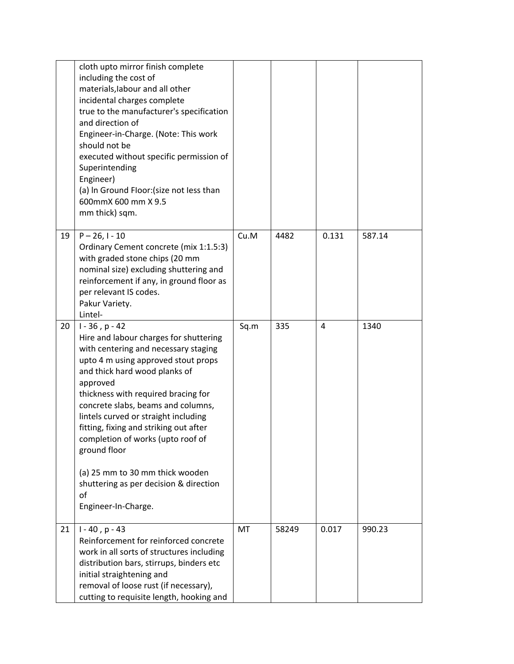|    | cloth upto mirror finish complete<br>including the cost of<br>materials, labour and all other<br>incidental charges complete<br>true to the manufacturer's specification<br>and direction of<br>Engineer-in-Charge. (Note: This work<br>should not be<br>executed without specific permission of<br>Superintending<br>Engineer)<br>(a) In Ground Floor: (size not less than<br>600mmX 600 mm X 9.5<br>mm thick) sqm.                                                                                                    |      |       |       |        |
|----|-------------------------------------------------------------------------------------------------------------------------------------------------------------------------------------------------------------------------------------------------------------------------------------------------------------------------------------------------------------------------------------------------------------------------------------------------------------------------------------------------------------------------|------|-------|-------|--------|
| 19 | $P - 26$ , I - 10<br>Ordinary Cement concrete (mix 1:1.5:3)<br>with graded stone chips (20 mm<br>nominal size) excluding shuttering and<br>reinforcement if any, in ground floor as<br>per relevant IS codes.<br>Pakur Variety.<br>Lintel-                                                                                                                                                                                                                                                                              | Cu.M | 4482  | 0.131 | 587.14 |
| 20 | $1 - 36$ , p $- 42$<br>Hire and labour charges for shuttering<br>with centering and necessary staging<br>upto 4 m using approved stout props<br>and thick hard wood planks of<br>approved<br>thickness with required bracing for<br>concrete slabs, beams and columns,<br>lintels curved or straight including<br>fitting, fixing and striking out after<br>completion of works (upto roof of<br>ground floor<br>(a) 25 mm to 30 mm thick wooden<br>shuttering as per decision & direction<br>of<br>Engineer-In-Charge. | Sq.m | 335   | 4     | 1340   |
| 21 | $1 - 40$ , p $- 43$<br>Reinforcement for reinforced concrete<br>work in all sorts of structures including<br>distribution bars, stirrups, binders etc<br>initial straightening and<br>removal of loose rust (if necessary),<br>cutting to requisite length, hooking and                                                                                                                                                                                                                                                 | MT   | 58249 | 0.017 | 990.23 |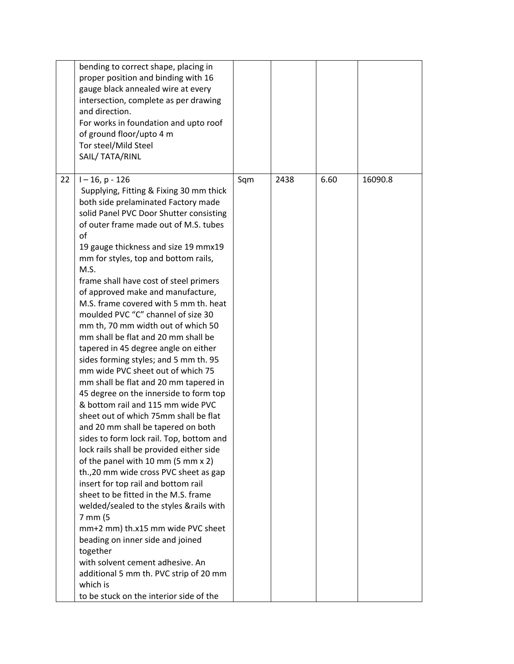|    | bending to correct shape, placing in<br>proper position and binding with 16<br>gauge black annealed wire at every<br>intersection, complete as per drawing<br>and direction.<br>For works in foundation and upto roof<br>of ground floor/upto 4 m<br>Tor steel/Mild Steel<br>SAIL/ TATA/RINL                                                                                                                                                                                                                                                                                                                                                                                                                                                                                                                                                                                                                                                                                                                                                                                                                                                                                                                                                                                                                                                                                                          |     |      |      |         |
|----|-------------------------------------------------------------------------------------------------------------------------------------------------------------------------------------------------------------------------------------------------------------------------------------------------------------------------------------------------------------------------------------------------------------------------------------------------------------------------------------------------------------------------------------------------------------------------------------------------------------------------------------------------------------------------------------------------------------------------------------------------------------------------------------------------------------------------------------------------------------------------------------------------------------------------------------------------------------------------------------------------------------------------------------------------------------------------------------------------------------------------------------------------------------------------------------------------------------------------------------------------------------------------------------------------------------------------------------------------------------------------------------------------------|-----|------|------|---------|
| 22 | $1 - 16$ , p - 126<br>Supplying, Fitting & Fixing 30 mm thick<br>both side prelaminated Factory made<br>solid Panel PVC Door Shutter consisting<br>of outer frame made out of M.S. tubes<br>of<br>19 gauge thickness and size 19 mmx19<br>mm for styles, top and bottom rails,<br>M.S.<br>frame shall have cost of steel primers<br>of approved make and manufacture,<br>M.S. frame covered with 5 mm th. heat<br>moulded PVC "C" channel of size 30<br>mm th, 70 mm width out of which 50<br>mm shall be flat and 20 mm shall be<br>tapered in 45 degree angle on either<br>sides forming styles; and 5 mm th. 95<br>mm wide PVC sheet out of which 75<br>mm shall be flat and 20 mm tapered in<br>45 degree on the innerside to form top<br>& bottom rail and 115 mm wide PVC<br>sheet out of which 75mm shall be flat<br>and 20 mm shall be tapered on both<br>sides to form lock rail. Top, bottom and<br>lock rails shall be provided either side<br>of the panel with 10 mm (5 mm x 2)<br>th., 20 mm wide cross PVC sheet as gap<br>insert for top rail and bottom rail<br>sheet to be fitted in the M.S. frame<br>welded/sealed to the styles &rails with<br>7 mm (5<br>mm+2 mm) th.x15 mm wide PVC sheet<br>beading on inner side and joined<br>together<br>with solvent cement adhesive. An<br>additional 5 mm th. PVC strip of 20 mm<br>which is<br>to be stuck on the interior side of the | Sqm | 2438 | 6.60 | 16090.8 |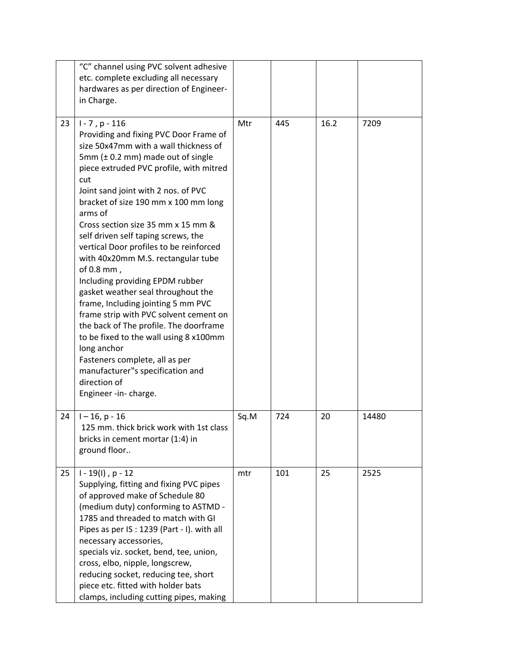|    | "C" channel using PVC solvent adhesive<br>etc. complete excluding all necessary<br>hardwares as per direction of Engineer-<br>in Charge.                                                                                                                                                                                                                                                                                                                                                                                                                                                                                                                                                                                                                                                                                                           |      |     |      |       |
|----|----------------------------------------------------------------------------------------------------------------------------------------------------------------------------------------------------------------------------------------------------------------------------------------------------------------------------------------------------------------------------------------------------------------------------------------------------------------------------------------------------------------------------------------------------------------------------------------------------------------------------------------------------------------------------------------------------------------------------------------------------------------------------------------------------------------------------------------------------|------|-----|------|-------|
| 23 | $1 - 7$ , p $- 116$<br>Providing and fixing PVC Door Frame of<br>size 50x47mm with a wall thickness of<br>5mm $(\pm 0.2$ mm) made out of single<br>piece extruded PVC profile, with mitred<br>cut<br>Joint sand joint with 2 nos. of PVC<br>bracket of size 190 mm x 100 mm long<br>arms of<br>Cross section size 35 mm x 15 mm &<br>self driven self taping screws, the<br>vertical Door profiles to be reinforced<br>with 40x20mm M.S. rectangular tube<br>of 0.8 mm,<br>Including providing EPDM rubber<br>gasket weather seal throughout the<br>frame, Including jointing 5 mm PVC<br>frame strip with PVC solvent cement on<br>the back of The profile. The doorframe<br>to be fixed to the wall using 8 x100mm<br>long anchor<br>Fasteners complete, all as per<br>manufacturer"s specification and<br>direction of<br>Engineer -in- charge. | Mtr  | 445 | 16.2 | 7209  |
| 24 | $1 - 16$ , p - 16<br>125 mm. thick brick work with 1st class<br>bricks in cement mortar (1:4) in<br>ground floor                                                                                                                                                                                                                                                                                                                                                                                                                                                                                                                                                                                                                                                                                                                                   | Sq.M | 724 | 20   | 14480 |
| 25 | $1 - 19(1)$ , p - 12<br>Supplying, fitting and fixing PVC pipes<br>of approved make of Schedule 80<br>(medium duty) conforming to ASTMD -<br>1785 and threaded to match with GI<br>Pipes as per IS: 1239 (Part - I). with all<br>necessary accessories,<br>specials viz. socket, bend, tee, union,<br>cross, elbo, nipple, longscrew,<br>reducing socket, reducing tee, short<br>piece etc. fitted with holder bats<br>clamps, including cutting pipes, making                                                                                                                                                                                                                                                                                                                                                                                     | mtr  | 101 | 25   | 2525  |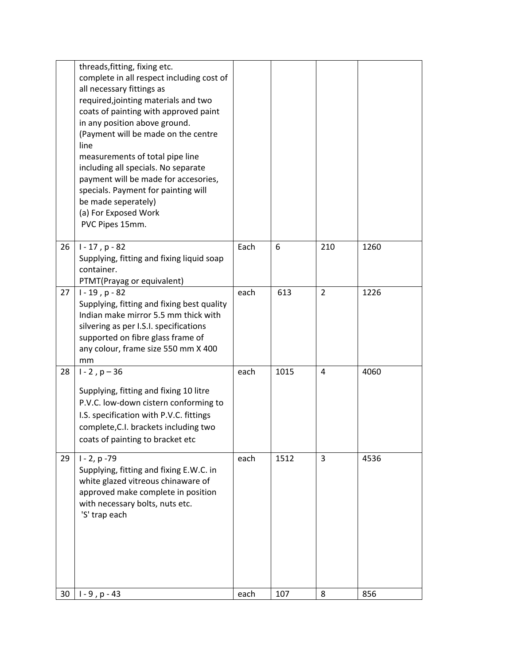|    | threads, fitting, fixing etc.<br>complete in all respect including cost of<br>all necessary fittings as<br>required, jointing materials and two<br>coats of painting with approved paint<br>in any position above ground.<br>(Payment will be made on the centre<br>line<br>measurements of total pipe line<br>including all specials. No separate<br>payment will be made for accesories,<br>specials. Payment for painting will<br>be made seperately)<br>(a) For Exposed Work<br>PVC Pipes 15mm. |      |      |                |      |
|----|-----------------------------------------------------------------------------------------------------------------------------------------------------------------------------------------------------------------------------------------------------------------------------------------------------------------------------------------------------------------------------------------------------------------------------------------------------------------------------------------------------|------|------|----------------|------|
| 26 | $1 - 17$ , p - 82<br>Supplying, fitting and fixing liquid soap<br>container.<br>PTMT(Prayag or equivalent)                                                                                                                                                                                                                                                                                                                                                                                          | Each | 6    | 210            | 1260 |
| 27 | $1 - 19$ , p - 82<br>Supplying, fitting and fixing best quality<br>Indian make mirror 5.5 mm thick with<br>silvering as per I.S.I. specifications<br>supported on fibre glass frame of<br>any colour, frame size 550 mm X 400<br>mm                                                                                                                                                                                                                                                                 | each | 613  | $\overline{2}$ | 1226 |
| 28 | $1 - 2$ , $p - 36$<br>Supplying, fitting and fixing 10 litre<br>P.V.C. low-down cistern conforming to<br>I.S. specification with P.V.C. fittings<br>complete, C.I. brackets including two<br>coats of painting to bracket etc                                                                                                                                                                                                                                                                       | each | 1015 | $\overline{4}$ | 4060 |
| 29 | $1 - 2$ , p $-79$<br>Supplying, fitting and fixing E.W.C. in<br>white glazed vitreous chinaware of<br>approved make complete in position<br>with necessary bolts, nuts etc.<br>'S' trap each                                                                                                                                                                                                                                                                                                        | each | 1512 | 3              | 4536 |
| 30 | $1 - 9$ , p $- 43$                                                                                                                                                                                                                                                                                                                                                                                                                                                                                  | each | 107  | 8              | 856  |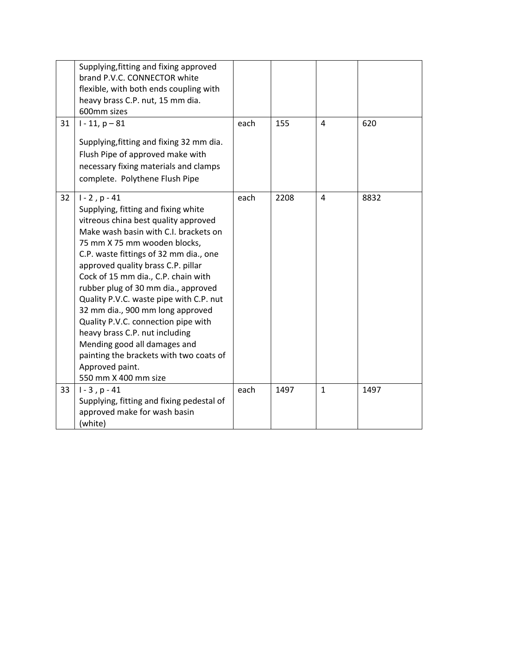|    | Supplying, fitting and fixing approved<br>brand P.V.C. CONNECTOR white<br>flexible, with both ends coupling with<br>heavy brass C.P. nut, 15 mm dia.<br>600mm sizes                                                                                                                                                                                                                                                                                                                                                                                                                                                    |      |      |                |      |
|----|------------------------------------------------------------------------------------------------------------------------------------------------------------------------------------------------------------------------------------------------------------------------------------------------------------------------------------------------------------------------------------------------------------------------------------------------------------------------------------------------------------------------------------------------------------------------------------------------------------------------|------|------|----------------|------|
| 31 | $1 - 11$ , $p - 81$<br>Supplying, fitting and fixing 32 mm dia.<br>Flush Pipe of approved make with<br>necessary fixing materials and clamps<br>complete. Polythene Flush Pipe                                                                                                                                                                                                                                                                                                                                                                                                                                         | each | 155  | $\overline{a}$ | 620  |
| 32 | $1 - 2$ , $p - 41$<br>Supplying, fitting and fixing white<br>vitreous china best quality approved<br>Make wash basin with C.I. brackets on<br>75 mm X 75 mm wooden blocks,<br>C.P. waste fittings of 32 mm dia., one<br>approved quality brass C.P. pillar<br>Cock of 15 mm dia., C.P. chain with<br>rubber plug of 30 mm dia., approved<br>Quality P.V.C. waste pipe with C.P. nut<br>32 mm dia., 900 mm long approved<br>Quality P.V.C. connection pipe with<br>heavy brass C.P. nut including<br>Mending good all damages and<br>painting the brackets with two coats of<br>Approved paint.<br>550 mm X 400 mm size | each | 2208 | 4              | 8832 |
| 33 | $1 - 3$ , $p - 41$<br>Supplying, fitting and fixing pedestal of<br>approved make for wash basin<br>(white)                                                                                                                                                                                                                                                                                                                                                                                                                                                                                                             | each | 1497 | $\mathbf{1}$   | 1497 |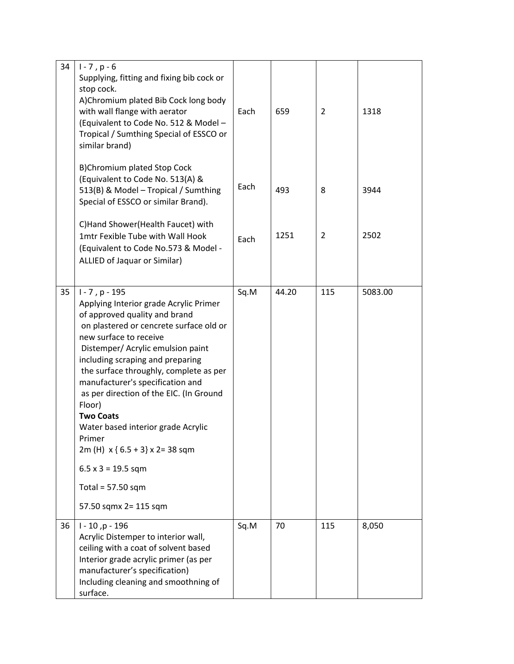| 34 | $1 - 7$ , p $-6$<br>Supplying, fitting and fixing bib cock or<br>stop cock.<br>A)Chromium plated Bib Cock long body<br>with wall flange with aerator<br>(Equivalent to Code No. 512 & Model -<br>Tropical / Sumthing Special of ESSCO or<br>similar brand)                                                                                                                                                                                                                                 | Each | 659   | $\overline{2}$ | 1318    |
|----|--------------------------------------------------------------------------------------------------------------------------------------------------------------------------------------------------------------------------------------------------------------------------------------------------------------------------------------------------------------------------------------------------------------------------------------------------------------------------------------------|------|-------|----------------|---------|
|    | B)Chromium plated Stop Cock<br>(Equivalent to Code No. 513(A) &<br>513(B) & Model - Tropical / Sumthing<br>Special of ESSCO or similar Brand).                                                                                                                                                                                                                                                                                                                                             | Each | 493   | 8              | 3944    |
|    | C)Hand Shower(Health Faucet) with<br>1mtr Fexible Tube with Wall Hook<br>(Equivalent to Code No.573 & Model -<br>ALLIED of Jaquar or Similar)                                                                                                                                                                                                                                                                                                                                              | Each | 1251  | 2              | 2502    |
| 35 | $1 - 7$ , p - 195<br>Applying Interior grade Acrylic Primer<br>of approved quality and brand<br>on plastered or cencrete surface old or<br>new surface to receive<br>Distemper/ Acrylic emulsion paint<br>including scraping and preparing<br>the surface throughly, complete as per<br>manufacturer's specification and<br>as per direction of the EIC. (In Ground<br>Floor)<br><b>Two Coats</b><br>Water based interior grade Acrylic<br>Primer<br>2m (H) $x \{ 6.5 + 3 \} x 2 = 38$ sqm | Sq.M | 44.20 | 115            | 5083.00 |
|    | $6.5 \times 3 = 19.5$ sqm<br>Total = $57.50$ sqm                                                                                                                                                                                                                                                                                                                                                                                                                                           |      |       |                |         |
|    | 57.50 sqmx 2= 115 sqm                                                                                                                                                                                                                                                                                                                                                                                                                                                                      |      |       |                |         |
| 36 | $1 - 10$ , p - 196<br>Acrylic Distemper to interior wall,<br>ceiling with a coat of solvent based<br>Interior grade acrylic primer (as per<br>manufacturer's specification)<br>Including cleaning and smoothning of<br>surface.                                                                                                                                                                                                                                                            | Sq.M | 70    | 115            | 8,050   |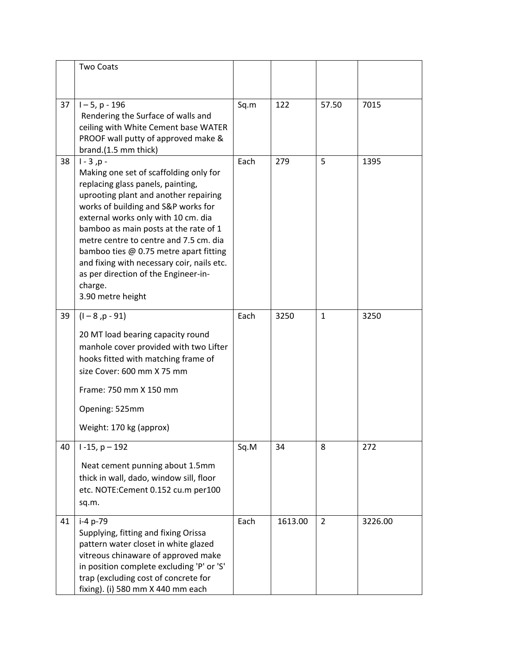|    | <b>Two Coats</b>                                                                                                                                                                                                                                                                                                                                                                                                                                                      |      |         |              |         |
|----|-----------------------------------------------------------------------------------------------------------------------------------------------------------------------------------------------------------------------------------------------------------------------------------------------------------------------------------------------------------------------------------------------------------------------------------------------------------------------|------|---------|--------------|---------|
|    |                                                                                                                                                                                                                                                                                                                                                                                                                                                                       |      |         |              |         |
| 37 | $1 - 5$ , p - 196<br>Rendering the Surface of walls and<br>ceiling with White Cement base WATER<br>PROOF wall putty of approved make &<br>brand.(1.5 mm thick)                                                                                                                                                                                                                                                                                                        | Sq.m | 122     | 57.50        | 7015    |
| 38 | $1 - 3, p -$<br>Making one set of scaffolding only for<br>replacing glass panels, painting,<br>uprooting plant and another repairing<br>works of building and S&P works for<br>external works only with 10 cm. dia<br>bamboo as main posts at the rate of 1<br>metre centre to centre and 7.5 cm. dia<br>bamboo ties @ 0.75 metre apart fitting<br>and fixing with necessary coir, nails etc.<br>as per direction of the Engineer-in-<br>charge.<br>3.90 metre height | Each | 279     | 5            | 1395    |
| 39 | $(1 - 8, p - 91)$<br>20 MT load bearing capacity round<br>manhole cover provided with two Lifter<br>hooks fitted with matching frame of<br>size Cover: 600 mm X 75 mm<br>Frame: 750 mm X 150 mm<br>Opening: 525mm<br>Weight: 170 kg (approx)                                                                                                                                                                                                                          | Each | 3250    | $\mathbf{1}$ | 3250    |
| 40 | $1 - 15$ , $p - 192$<br>Neat cement punning about 1.5mm<br>thick in wall, dado, window sill, floor<br>etc. NOTE: Cement 0.152 cu.m per100<br>sq.m.                                                                                                                                                                                                                                                                                                                    | Sq.M | 34      | 8            | 272     |
| 41 | i-4 p-79<br>Supplying, fitting and fixing Orissa<br>pattern water closet in white glazed<br>vitreous chinaware of approved make<br>in position complete excluding 'P' or 'S'<br>trap (excluding cost of concrete for<br>fixing). (i) 580 mm X 440 mm each                                                                                                                                                                                                             | Each | 1613.00 | 2            | 3226.00 |